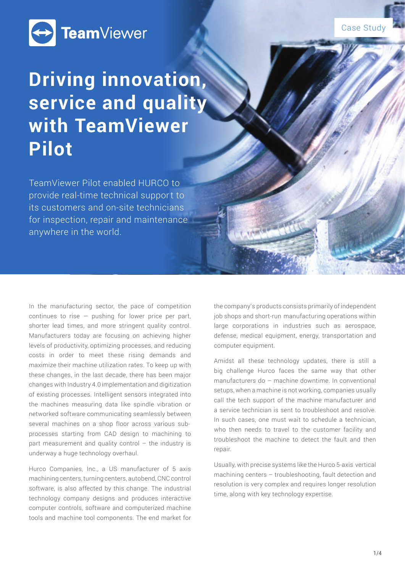

## Case Study

# **Driving innovation, service and quality with TeamViewer Pilot**

TeamViewer Pilot enabled HURCO to provide real-time technical support to its customers and on-site technicians for inspection, repair and maintenance anywhere in the world.

In the manufacturing sector, the pace of competition continues to rise  $-$  pushing for lower price per part, shorter lead times, and more stringent quality control. Manufacturers today are focusing on achieving higher levels of productivity, optimizing processes, and reducing costs in order to meet these rising demands and maximize their machine utilization rates. To keep up with these changes, in the last decade, there has been major changes with Industry 4.0 implementation and digitization of existing processes. Intelligent sensors integrated into the machines measuring data like spindle vibration or networked software communicating seamlessly between several machines on a shop floor across various subprocesses starting from CAD design to machining to part measurement and quality control – the industry is underway a huge technology overhaul.

Hurco Companies, Inc., a US manufacturer of 5 axis machining centers, turning centers, autobend, CNC control software, is also affected by this change. The industrial technology company designs and produces interactive computer controls, software and computerized machine tools and machine tool components. The end market for the company's products consists primarily of independent job shops and short-run manufacturing operations within large corporations in industries such as aerospace, defense, medical equipment, energy, transportation and computer equipment.

Amidst all these technology updates, there is still a big challenge Hurco faces the same way that other manufacturers do – machine downtime. In conventional setups, when a machine is not working, companies usually call the tech support of the machine manufacturer and a service technician is sent to troubleshoot and resolve. In such cases, one must wait to schedule a technician, who then needs to travel to the customer facility and troubleshoot the machine to detect the fault and then repair.

Usually, with precise systems like the Hurco 5-axis vertical machining centers – troubleshooting, fault detection and resolution is very complex and requires longer resolution time, along with key technology expertise.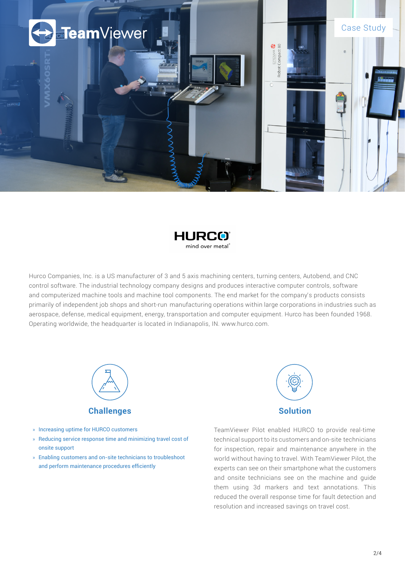



Hurco Companies, Inc. is a US manufacturer of 3 and 5 axis machining centers, turning centers, Autobend, and CNC control software. The industrial technology company designs and produces interactive computer controls, software and computerized machine tools and machine tool components. The end market for the company's products consists primarily of independent job shops and short-run manufacturing operations within large corporations in industries such as aerospace, defense, medical equipment, energy, transportation and computer equipment. Hurco has been founded 1968. Operating worldwide, the headquarter is located in Indianapolis, IN. www.hurco.com.



- » Increasing uptime for HURCO customers
- » Reducing service response time and minimizing travel cost of onsite support
- » Enabling customers and on-site technicians to troubleshoot and perform maintenance procedures efficiently



TeamViewer Pilot enabled HURCO to provide real-time technical support to its customers and on-site technicians for inspection, repair and maintenance anywhere in the world without having to travel. With TeamViewer Pilot, the experts can see on their smartphone what the customers and onsite technicians see on the machine and guide them using 3d markers and text annotations. This reduced the overall response time for fault detection and resolution and increased savings on travel cost.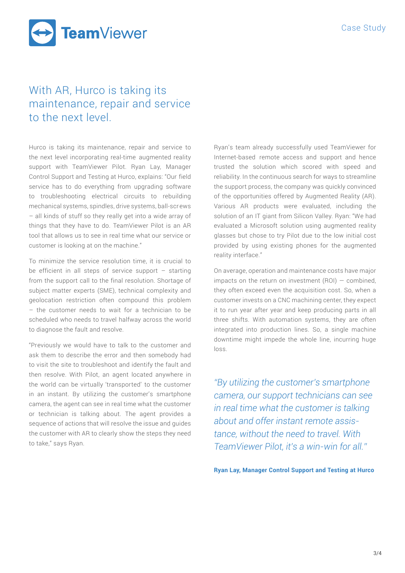TeamViewer

## With AR, Hurco is taking its maintenance, repair and service to the next level.

Hurco is taking its maintenance, repair and service to the next level incorporating real-time augmented reality support with TeamViewer Pilot. Ryan Lay, Manager Control Support and Testing at Hurco, explains: "Our field service has to do everything from upgrading software to troubleshooting electrical circuits to rebuilding mechanical systems, spindles, drive systems, ball-scr ews – all kinds of stuff so they really get into a wide array of things that they have to do. TeamViewer Pilot is an AR tool that allows us to see in real time what our service or customer is looking at on the machine."

To minimize the service resolution time, it is crucial to be efficient in all steps of service support – starting from the support call to the final resolution. Shortage of subject matter experts (SME), technical complexity and geolocation restriction often compound this problem – the customer needs to wait for a technician to be scheduled who needs to travel halfway across the world to diagnose the fault and resolve.

"Previously we would have to talk to the customer and ask them to describe the error and then somebody had to visit the site to troubleshoot and identify the fault and then resolve. With Pilot, an agent located anywhere in the world can be virtually 'transported' to the customer in an instant. By utilizing the customer's smartphone camera, the agent can see in real time what the customer or technician is talking about. The agent provides a sequence of actions that will resolve the issue and guides the customer with AR to clearly show the steps they need to take," says Ryan.

Ryan's team already successfully used TeamViewer for Internet-based remote access and support and hence trusted the solution which scored with speed and reliability. In the continuous search for ways to streamline the support process, the company was quickly convinced of the opportunities offered by Augmented Reality (AR). Various AR products were evaluated, including the solution of an IT giant from Silicon Valley. Ryan: "We had evaluated a Microsoft solution using augmented reality glasses but chose to try Pilot due to the low initial cost provided by using existing phones for the augmented reality interface."

On average, operation and maintenance costs have major impacts on the return on investment  $(ROI) - combined$ , they often exceed even the acquisition cost. So, when a customer invests on a CNC machining center, they expect it to run year after year and keep producing parts in all three shifts. With automation systems, they are often integrated into production lines. So, a single machine downtime might impede the whole line, incurring huge loss.

*"By utilizing the customer's smartphone camera, our support technicians can see in real time what the customer is talking about and offer instant remote assistance, without the need to travel. With TeamViewer Pilot, it's a win-win for all."* 

**Ryan Lay, Manager Control Support and Testing at Hurco**